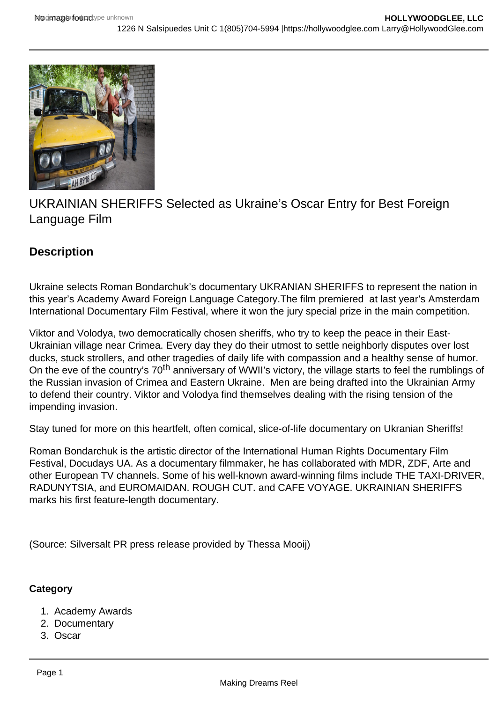

UKRAINIAN SHERIFFS Selected as Ukraine's Oscar Entry for Best Foreign Language Film

## **Description**

Ukraine selects Roman Bondarchuk's documentary UKRANIAN SHERIFFS to represent the nation in this year's Academy Award Foreign Language Category.The film premiered at last year's Amsterdam International Documentary Film Festival, where it won the jury special prize in the main competition.

Viktor and Volodya, two democratically chosen sheriffs, who try to keep the peace in their East-Ukrainian village near Crimea. Every day they do their utmost to settle neighborly disputes over lost ducks, stuck strollers, and other tragedies of daily life with compassion and a healthy sense of humor. On the eve of the country's 70<sup>th</sup> anniversary of WWII's victory, the village starts to feel the rumblings of the Russian invasion of Crimea and Eastern Ukraine. Men are being drafted into the Ukrainian Army to defend their country. Viktor and Volodya find themselves dealing with the rising tension of the impending invasion.

Stay tuned for more on this heartfelt, often comical, slice-of-life documentary on Ukranian Sheriffs!

Roman Bondarchuk is the artistic director of the International Human Rights Documentary Film Festival, Docudays UA. As a documentary filmmaker, he has collaborated with MDR, ZDF, Arte and other European TV channels. Some of his well-known award-winning films include THE TAXI-DRIVER, RADUNYTSIA, and EUROMAIDAN. ROUGH CUT. and CAFE VOYAGE. UKRAINIAN SHERIFFS marks his first feature-length documentary.

(Source: Silversalt PR press release provided by Thessa Mooij)

## **Category**

- 1. Academy Awards
- 2. Documentary
- 3. Oscar